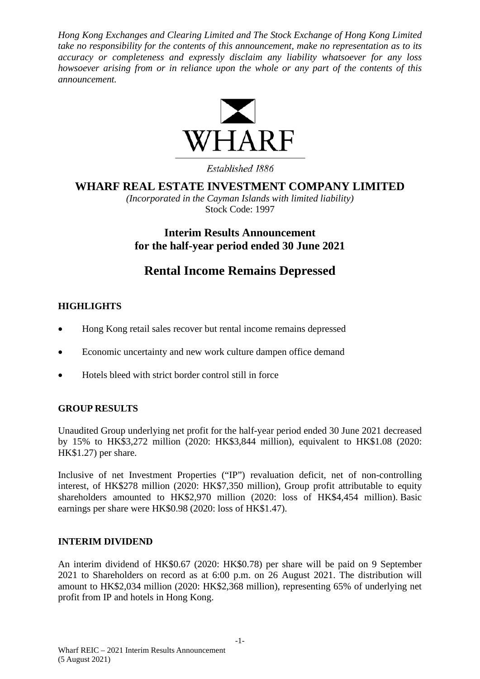*Hong Kong Exchanges and Clearing Limited and The Stock Exchange of Hong Kong Limited take no responsibility for the contents of this announcement, make no representation as to its accuracy or completeness and expressly disclaim any liability whatsoever for any loss howsoever arising from or in reliance upon the whole or any part of the contents of this announcement.*



Established 1886

# **WHARF REAL ESTATE INVESTMENT COMPANY LIMITED**

*(Incorporated in the Cayman Islands with limited liability)* Stock Code: 1997

**Interim Results Announcement for the half-year period ended 30 June 2021**

# **Rental Income Remains Depressed**

# **HIGHLIGHTS**

- Hong Kong retail sales recover but rental income remains depressed
- Economic uncertainty and new work culture dampen office demand
- Hotels bleed with strict border control still in force

### **GROUP RESULTS**

Unaudited Group underlying net profit for the half-year period ended 30 June 2021 decreased by 15% to HK\$3,272 million (2020: HK\$3,844 million), equivalent to HK\$1.08 (2020: HK\$1.27) per share.

Inclusive of net Investment Properties ("IP") revaluation deficit, net of non-controlling interest, of HK\$278 million (2020: HK\$7,350 million), Group profit attributable to equity shareholders amounted to HK\$2,970 million (2020: loss of HK\$4,454 million). Basic earnings per share were HK\$0.98 (2020: loss of HK\$1.47).

#### **INTERIM DIVIDEND**

An interim dividend of HK\$0.67 (2020: HK\$0.78) per share will be paid on 9 September 2021 to Shareholders on record as at 6:00 p.m. on 26 August 2021. The distribution will amount to HK\$2,034 million (2020: HK\$2,368 million), representing 65% of underlying net profit from IP and hotels in Hong Kong.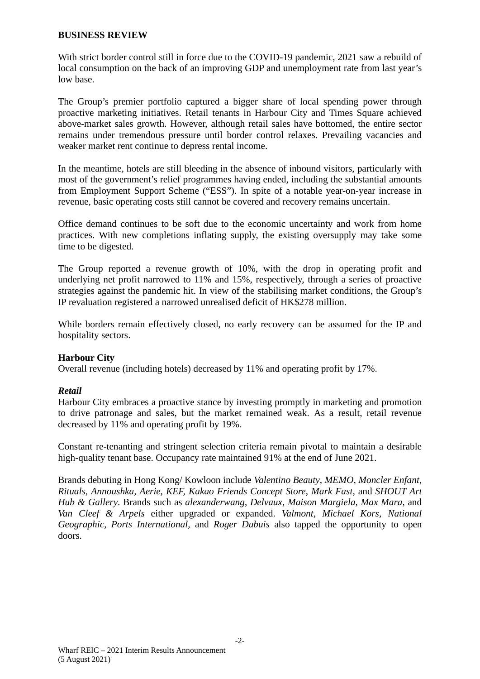#### **BUSINESS REVIEW**

With strict border control still in force due to the COVID-19 pandemic, 2021 saw a rebuild of local consumption on the back of an improving GDP and unemployment rate from last year's low base.

The Group's premier portfolio captured a bigger share of local spending power through proactive marketing initiatives. Retail tenants in Harbour City and Times Square achieved above-market sales growth. However, although retail sales have bottomed, the entire sector remains under tremendous pressure until border control relaxes. Prevailing vacancies and weaker market rent continue to depress rental income.

In the meantime, hotels are still bleeding in the absence of inbound visitors, particularly with most of the government's relief programmes having ended, including the substantial amounts from Employment Support Scheme ("ESS"). In spite of a notable year-on-year increase in revenue, basic operating costs still cannot be covered and recovery remains uncertain.

Office demand continues to be soft due to the economic uncertainty and work from home practices. With new completions inflating supply, the existing oversupply may take some time to be digested.

The Group reported a revenue growth of 10%, with the drop in operating profit and underlying net profit narrowed to 11% and 15%, respectively, through a series of proactive strategies against the pandemic hit. In view of the stabilising market conditions, the Group's IP revaluation registered a narrowed unrealised deficit of HK\$278 million.

While borders remain effectively closed, no early recovery can be assumed for the IP and hospitality sectors.

#### **Harbour City**

Overall revenue (including hotels) decreased by 11% and operating profit by 17%.

#### *Retail*

Harbour City embraces a proactive stance by investing promptly in marketing and promotion to drive patronage and sales, but the market remained weak. As a result, retail revenue decreased by 11% and operating profit by 19%.

Constant re-tenanting and stringent selection criteria remain pivotal to maintain a desirable high-quality tenant base. Occupancy rate maintained 91% at the end of June 2021.

Brands debuting in Hong Kong/ Kowloon include *Valentino Beauty*, *MEMO, Moncler Enfant, Rituals, Annoushka, Aerie, KEF, Kakao Friends Concept Store*, *Mark Fast*, and *SHOUT Art Hub & Gallery*. Brands such as *alexanderwang*, *Delvaux, Maison Margiela, Max Mara,* and *Van Cleef & Arpels* either upgraded or expanded. *Valmont*, *Michael Kors, National Geographic, Ports International,* and *Roger Dubuis* also tapped the opportunity to open doors.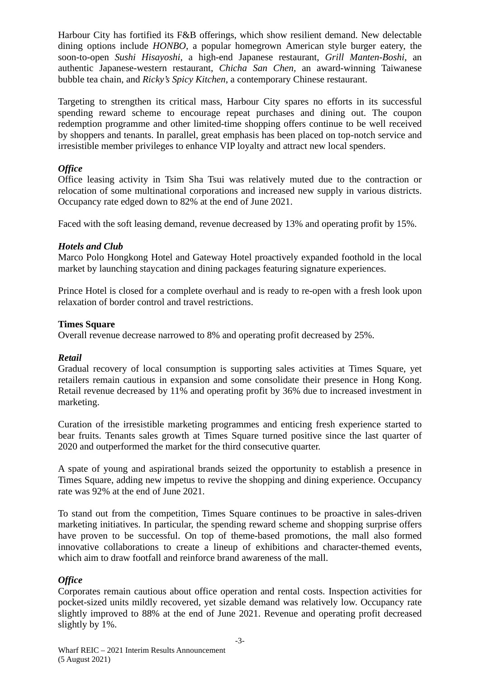Harbour City has fortified its F&B offerings, which show resilient demand. New delectable dining options include *HONBO*, a popular homegrown American style burger eatery, the soon-to-open *Sushi Hisayoshi*, a high-end Japanese restaurant, *Grill Manten-Boshi*, an authentic Japanese-western restaurant, *Chicha San Chen,* an award-winning Taiwanese bubble tea chain, and *Ricky's Spicy Kitchen*, a contemporary Chinese restaurant.

Targeting to strengthen its critical mass, Harbour City spares no efforts in its successful spending reward scheme to encourage repeat purchases and dining out. The coupon redemption programme and other limited-time shopping offers continue to be well received by shoppers and tenants. In parallel, great emphasis has been placed on top-notch service and irresistible member privileges to enhance VIP loyalty and attract new local spenders.

# *Office*

Office leasing activity in Tsim Sha Tsui was relatively muted due to the contraction or relocation of some multinational corporations and increased new supply in various districts. Occupancy rate edged down to 82% at the end of June 2021.

Faced with the soft leasing demand, revenue decreased by 13% and operating profit by 15%.

### *Hotels and Club*

Marco Polo Hongkong Hotel and Gateway Hotel proactively expanded foothold in the local market by launching staycation and dining packages featuring signature experiences.

Prince Hotel is closed for a complete overhaul and is ready to re-open with a fresh look upon relaxation of border control and travel restrictions.

### **Times Square**

Overall revenue decrease narrowed to 8% and operating profit decreased by 25%.

### *Retail*

Gradual recovery of local consumption is supporting sales activities at Times Square, yet retailers remain cautious in expansion and some consolidate their presence in Hong Kong. Retail revenue decreased by 11% and operating profit by 36% due to increased investment in marketing.

Curation of the irresistible marketing programmes and enticing fresh experience started to bear fruits. Tenants sales growth at Times Square turned positive since the last quarter of 2020 and outperformed the market for the third consecutive quarter.

A spate of young and aspirational brands seized the opportunity to establish a presence in Times Square, adding new impetus to revive the shopping and dining experience. Occupancy rate was 92% at the end of June 2021.

To stand out from the competition, Times Square continues to be proactive in sales-driven marketing initiatives. In particular, the spending reward scheme and shopping surprise offers have proven to be successful. On top of theme-based promotions, the mall also formed innovative collaborations to create a lineup of exhibitions and character-themed events, which aim to draw footfall and reinforce brand awareness of the mall.

### *Office*

Corporates remain cautious about office operation and rental costs. Inspection activities for pocket-sized units mildly recovered, yet sizable demand was relatively low. Occupancy rate slightly improved to 88% at the end of June 2021. Revenue and operating profit decreased slightly by 1%.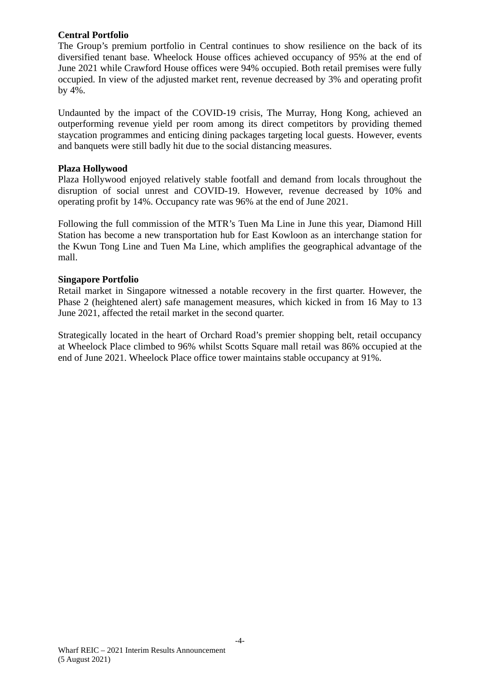### **Central Portfolio**

The Group's premium portfolio in Central continues to show resilience on the back of its diversified tenant base. Wheelock House offices achieved occupancy of 95% at the end of June 2021 while Crawford House offices were 94% occupied. Both retail premises were fully occupied. In view of the adjusted market rent, revenue decreased by 3% and operating profit by 4%.

Undaunted by the impact of the COVID-19 crisis, The Murray, Hong Kong, achieved an outperforming revenue yield per room among its direct competitors by providing themed staycation programmes and enticing dining packages targeting local guests. However, events and banquets were still badly hit due to the social distancing measures.

#### **Plaza Hollywood**

Plaza Hollywood enjoyed relatively stable footfall and demand from locals throughout the disruption of social unrest and COVID-19. However, revenue decreased by 10% and operating profit by 14%. Occupancy rate was 96% at the end of June 2021.

Following the full commission of the MTR's Tuen Ma Line in June this year, Diamond Hill Station has become a new transportation hub for East Kowloon as an interchange station for the Kwun Tong Line and Tuen Ma Line, which amplifies the geographical advantage of the mall.

### **Singapore Portfolio**

Retail market in Singapore witnessed a notable recovery in the first quarter. However, the Phase 2 (heightened alert) safe management measures, which kicked in from 16 May to 13 June 2021, affected the retail market in the second quarter.

Strategically located in the heart of Orchard Road's premier shopping belt, retail occupancy at Wheelock Place climbed to 96% whilst Scotts Square mall retail was 86% occupied at the end of June 2021. Wheelock Place office tower maintains stable occupancy at 91%.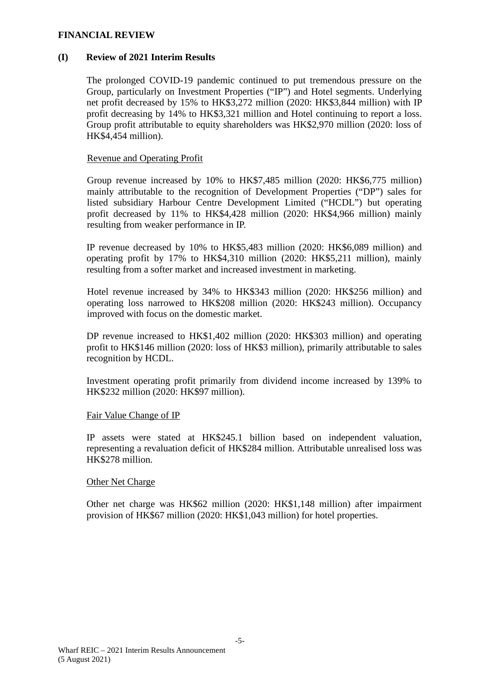#### **FINANCIAL REVIEW**

#### **(I) Review of 2021 Interim Results**

The prolonged COVID-19 pandemic continued to put tremendous pressure on the Group, particularly on Investment Properties ("IP") and Hotel segments. Underlying net profit decreased by 15% to HK\$3,272 million (2020: HK\$3,844 million) with IP profit decreasing by 14% to HK\$3,321 million and Hotel continuing to report a loss. Group profit attributable to equity shareholders was HK\$2,970 million (2020: loss of HK\$4,454 million).

#### Revenue and Operating Profit

Group revenue increased by 10% to HK\$7,485 million (2020: HK\$6,775 million) mainly attributable to the recognition of Development Properties ("DP") sales for listed subsidiary Harbour Centre Development Limited ("HCDL") but operating profit decreased by 11% to HK\$4,428 million (2020: HK\$4,966 million) mainly resulting from weaker performance in IP.

IP revenue decreased by 10% to HK\$5,483 million (2020: HK\$6,089 million) and operating profit by 17% to HK\$4,310 million (2020: HK\$5,211 million), mainly resulting from a softer market and increased investment in marketing.

Hotel revenue increased by 34% to HK\$343 million (2020: HK\$256 million) and operating loss narrowed to HK\$208 million (2020: HK\$243 million). Occupancy improved with focus on the domestic market.

DP revenue increased to HK\$1,402 million (2020: HK\$303 million) and operating profit to HK\$146 million (2020: loss of HK\$3 million), primarily attributable to sales recognition by HCDL.

Investment operating profit primarily from dividend income increased by 139% to HK\$232 million (2020: HK\$97 million).

#### Fair Value Change of IP

IP assets were stated at HK\$245.1 billion based on independent valuation, representing a revaluation deficit of HK\$284 million. Attributable unrealised loss was HK\$278 million.

#### Other Net Charge

Other net charge was HK\$62 million (2020: HK\$1,148 million) after impairment provision of HK\$67 million (2020: HK\$1,043 million) for hotel properties.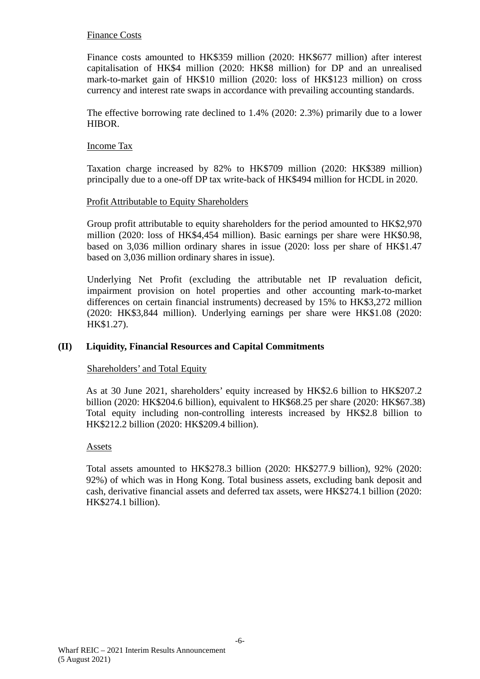#### Finance Costs

Finance costs amounted to HK\$359 million (2020: HK\$677 million) after interest capitalisation of HK\$4 million (2020: HK\$8 million) for DP and an unrealised mark-to-market gain of HK\$10 million (2020: loss of HK\$123 million) on cross currency and interest rate swaps in accordance with prevailing accounting standards.

The effective borrowing rate declined to 1.4% (2020: 2.3%) primarily due to a lower HIBOR.

#### Income Tax

Taxation charge increased by 82% to HK\$709 million (2020: HK\$389 million) principally due to a one-off DP tax write-back of HK\$494 million for HCDL in 2020.

### Profit Attributable to Equity Shareholders

Group profit attributable to equity shareholders for the period amounted to HK\$2,970 million (2020: loss of HK\$4,454 million). Basic earnings per share were HK\$0.98, based on 3,036 million ordinary shares in issue (2020: loss per share of HK\$1.47 based on 3,036 million ordinary shares in issue).

Underlying Net Profit (excluding the attributable net IP revaluation deficit, impairment provision on hotel properties and other accounting mark-to-market differences on certain financial instruments) decreased by 15% to HK\$3,272 million (2020: HK\$3,844 million). Underlying earnings per share were HK\$1.08 (2020: HK\$1.27).

#### **(II) Liquidity, Financial Resources and Capital Commitments**

#### Shareholders' and Total Equity

As at 30 June 2021, shareholders' equity increased by HK\$2.6 billion to HK\$207.2 billion (2020: HK\$204.6 billion), equivalent to HK\$68.25 per share (2020: HK\$67.38) Total equity including non-controlling interests increased by HK\$2.8 billion to HK\$212.2 billion (2020: HK\$209.4 billion).

#### Assets

Total assets amounted to HK\$278.3 billion (2020: HK\$277.9 billion), 92% (2020: 92%) of which was in Hong Kong. Total business assets, excluding bank deposit and cash, derivative financial assets and deferred tax assets, were HK\$274.1 billion (2020: HK\$274.1 billion).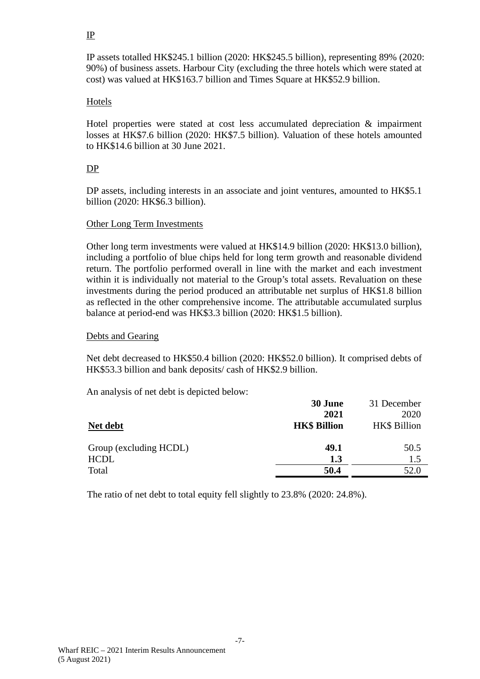### IP

IP assets totalled HK\$245.1 billion (2020: HK\$245.5 billion), representing 89% (2020: 90%) of business assets. Harbour City (excluding the three hotels which were stated at cost) was valued at HK\$163.7 billion and Times Square at HK\$52.9 billion.

### Hotels

Hotel properties were stated at cost less accumulated depreciation & impairment losses at HK\$7.6 billion (2020: HK\$7.5 billion). Valuation of these hotels amounted to HK\$14.6 billion at 30 June 2021.

### DP

DP assets, including interests in an associate and joint ventures, amounted to HK\$5.1 billion (2020: HK\$6.3 billion).

#### Other Long Term Investments

Other long term investments were valued at HK\$14.9 billion (2020: HK\$13.0 billion), including a portfolio of blue chips held for long term growth and reasonable dividend return. The portfolio performed overall in line with the market and each investment within it is individually not material to the Group's total assets. Revaluation on these investments during the period produced an attributable net surplus of HK\$1.8 billion as reflected in the other comprehensive income. The attributable accumulated surplus balance at period-end was HK\$3.3 billion (2020: HK\$1.5 billion).

#### Debts and Gearing

Net debt decreased to HK\$50.4 billion (2020: HK\$52.0 billion). It comprised debts of HK\$53.3 billion and bank deposits/ cash of HK\$2.9 billion.

An analysis of net debt is depicted below:

|                        | 30 June             | 31 December         |
|------------------------|---------------------|---------------------|
|                        | 2021                | 2020                |
| Net debt               | <b>HK\$ Billion</b> | <b>HK\$</b> Billion |
| Group (excluding HCDL) | 49.1                | 50.5                |
| <b>HCDL</b>            | 1.3                 | 1.5                 |
| Total                  | 50.4                | 52.0                |

The ratio of net debt to total equity fell slightly to 23.8% (2020: 24.8%).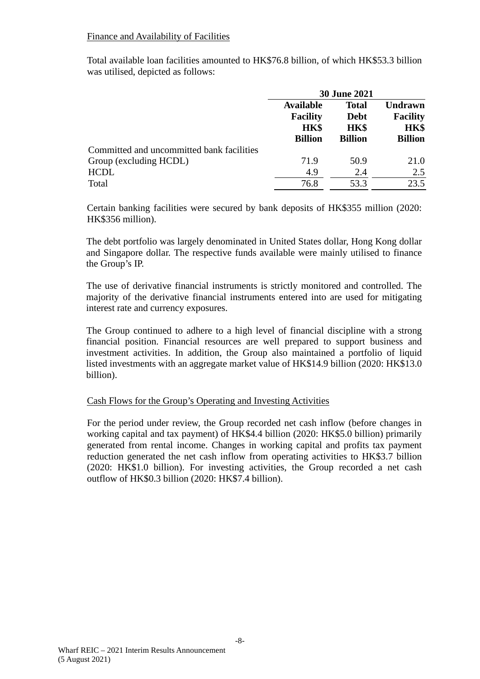### Finance and Availability of Facilities

Total available loan facilities amounted to HK\$76.8 billion, of which HK\$53.3 billion was utilised, depicted as follows:

|                                           | <b>30 June 2021</b> |                                                |                         |                |  |
|-------------------------------------------|---------------------|------------------------------------------------|-------------------------|----------------|--|
|                                           | <b>Available</b>    | <b>Total</b>                                   |                         | <b>Undrawn</b> |  |
|                                           |                     | <b>Facility</b><br><b>Debt</b><br>HK\$<br>HK\$ | <b>Facility</b><br>HK\$ |                |  |
|                                           |                     |                                                |                         |                |  |
|                                           | <b>Billion</b>      | <b>Billion</b>                                 | <b>Billion</b>          |                |  |
| Committed and uncommitted bank facilities |                     |                                                |                         |                |  |
| Group (excluding HCDL)                    | 71.9                | 50.9                                           | 21.0                    |                |  |
| <b>HCDL</b>                               | 4.9                 | 2.4                                            | 2.5                     |                |  |
| Total                                     | 76.8                | 53.3                                           | 23.5                    |                |  |

Certain banking facilities were secured by bank deposits of HK\$355 million (2020: HK\$356 million).

The debt portfolio was largely denominated in United States dollar, Hong Kong dollar and Singapore dollar. The respective funds available were mainly utilised to finance the Group's IP.

The use of derivative financial instruments is strictly monitored and controlled. The majority of the derivative financial instruments entered into are used for mitigating interest rate and currency exposures.

The Group continued to adhere to a high level of financial discipline with a strong financial position. Financial resources are well prepared to support business and investment activities. In addition, the Group also maintained a portfolio of liquid listed investments with an aggregate market value of HK\$14.9 billion (2020: HK\$13.0 billion).

#### Cash Flows for the Group's Operating and Investing Activities

For the period under review, the Group recorded net cash inflow (before changes in working capital and tax payment) of HK\$4.4 billion (2020: HK\$5.0 billion) primarily generated from rental income. Changes in working capital and profits tax payment reduction generated the net cash inflow from operating activities to HK\$3.7 billion (2020: HK\$1.0 billion). For investing activities, the Group recorded a net cash outflow of HK\$0.3 billion (2020: HK\$7.4 billion).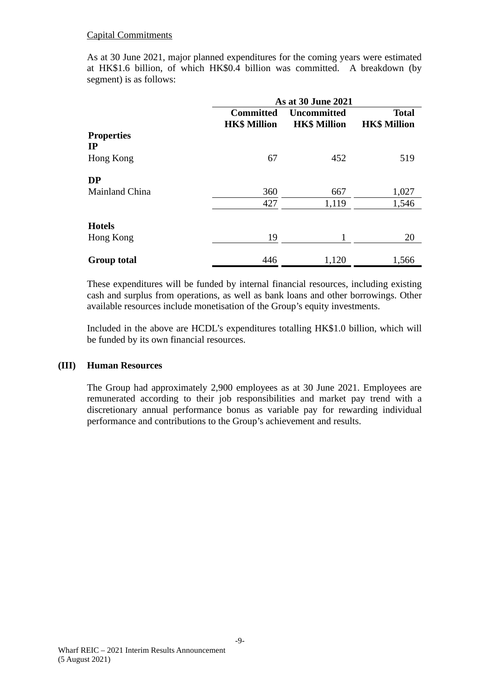### Capital Commitments

As at 30 June 2021, major planned expenditures for the coming years were estimated at HK\$1.6 billion, of which HK\$0.4 billion was committed. A breakdown (by segment) is as follows:

|                    | As at 30 June 2021                      |                                           |                                     |  |  |
|--------------------|-----------------------------------------|-------------------------------------------|-------------------------------------|--|--|
|                    | <b>Committed</b><br><b>HK\$ Million</b> | <b>Uncommitted</b><br><b>HK\$ Million</b> | <b>Total</b><br><b>HK\$ Million</b> |  |  |
| <b>Properties</b>  |                                         |                                           |                                     |  |  |
| IP                 |                                         |                                           |                                     |  |  |
| Hong Kong          | 67                                      | 452                                       | 519                                 |  |  |
| <b>DP</b>          |                                         |                                           |                                     |  |  |
| Mainland China     | 360                                     | 667                                       | 1,027                               |  |  |
|                    | 427                                     | 1,119                                     | 1,546                               |  |  |
| <b>Hotels</b>      |                                         |                                           |                                     |  |  |
| Hong Kong          | 19                                      |                                           | 20                                  |  |  |
| <b>Group total</b> | 446                                     | 1,120                                     | 1,566                               |  |  |

These expenditures will be funded by internal financial resources, including existing cash and surplus from operations, as well as bank loans and other borrowings. Other available resources include monetisation of the Group's equity investments.

Included in the above are HCDL's expenditures totalling HK\$1.0 billion, which will be funded by its own financial resources.

#### **(III) Human Resources**

The Group had approximately 2,900 employees as at 30 June 2021. Employees are remunerated according to their job responsibilities and market pay trend with a discretionary annual performance bonus as variable pay for rewarding individual performance and contributions to the Group's achievement and results.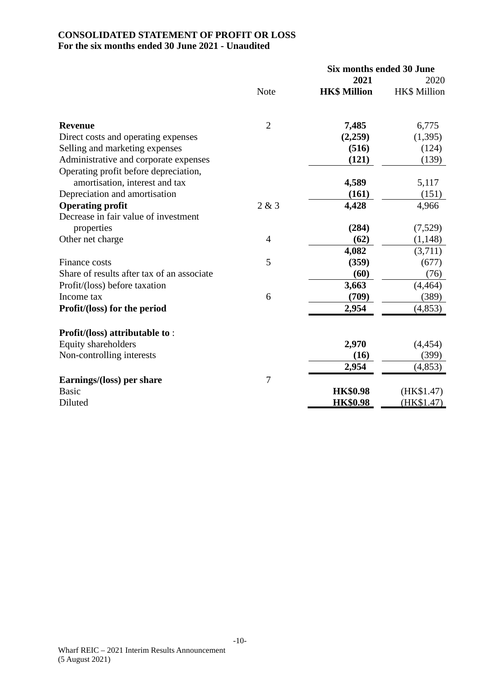### **CONSOLIDATED STATEMENT OF PROFIT OR LOSS For the six months ended 30 June 2021 - Unaudited**

|                                            |                | <b>Six months ended 30 June</b> |                     |  |
|--------------------------------------------|----------------|---------------------------------|---------------------|--|
|                                            |                | 2021                            | 2020                |  |
|                                            | <b>Note</b>    | <b>HK\$ Million</b>             | <b>HK\$ Million</b> |  |
| <b>Revenue</b>                             | $\overline{2}$ | 7,485                           | 6,775               |  |
| Direct costs and operating expenses        |                | (2,259)                         | (1,395)             |  |
| Selling and marketing expenses             |                | (516)                           | (124)               |  |
| Administrative and corporate expenses      |                | (121)                           | (139)               |  |
| Operating profit before depreciation,      |                |                                 |                     |  |
| amortisation, interest and tax             |                | 4,589                           | 5,117               |  |
| Depreciation and amortisation              |                | (161)                           | (151)               |  |
| <b>Operating profit</b>                    | 2 & 3          | 4,428                           | 4,966               |  |
| Decrease in fair value of investment       |                |                                 |                     |  |
| properties                                 |                | (284)                           | (7,529)             |  |
| Other net charge                           | $\overline{4}$ | (62)                            | (1, 148)            |  |
|                                            |                | 4,082                           | (3,711)             |  |
| Finance costs                              | 5              | (359)                           | (677)               |  |
| Share of results after tax of an associate |                | (60)                            | (76)                |  |
| Profit/(loss) before taxation              |                | 3,663                           | (4, 464)            |  |
| Income tax                                 | 6              | (709)                           | (389)               |  |
| Profit/(loss) for the period               |                | 2,954                           | (4, 853)            |  |
| Profit/(loss) attributable to:             |                |                                 |                     |  |
| Equity shareholders                        |                | 2,970                           | (4, 454)            |  |
| Non-controlling interests                  |                | (16)                            | (399)               |  |
|                                            |                | 2,954                           | (4, 853)            |  |
| Earnings/(loss) per share                  | $\overline{7}$ |                                 |                     |  |
| <b>Basic</b>                               |                | <b>HK\$0.98</b>                 | (HK\$1.47)          |  |
| Diluted                                    |                | <b>HK\$0.98</b>                 | (HK\$1.47)          |  |
|                                            |                |                                 |                     |  |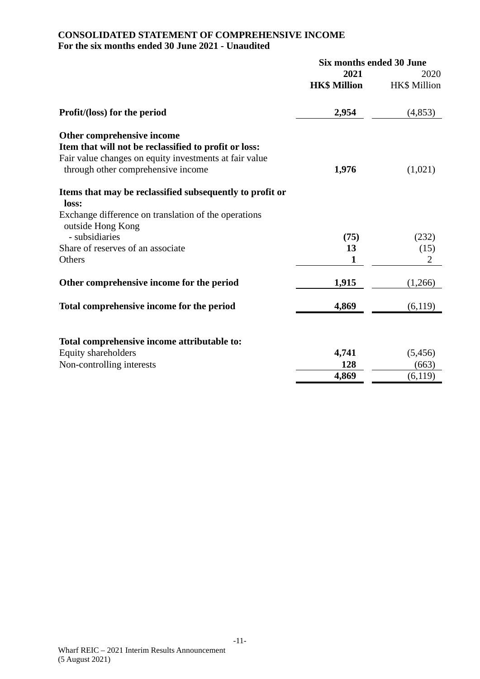# **CONSOLIDATED STATEMENT OF COMPREHENSIVE INCOME For the six months ended 30 June 2021 - Unaudited**

|                                                                                                                                                                                     | Six months ended 30 June |                     |  |
|-------------------------------------------------------------------------------------------------------------------------------------------------------------------------------------|--------------------------|---------------------|--|
|                                                                                                                                                                                     | 2021                     | 2020                |  |
|                                                                                                                                                                                     | <b>HK\$ Million</b>      | <b>HK\$</b> Million |  |
| Profit/(loss) for the period                                                                                                                                                        | 2,954                    | (4, 853)            |  |
| Other comprehensive income<br>Item that will not be reclassified to profit or loss:<br>Fair value changes on equity investments at fair value<br>through other comprehensive income | 1,976                    | (1,021)             |  |
| Items that may be reclassified subsequently to profit or<br>loss:<br>Exchange difference on translation of the operations                                                           |                          |                     |  |
| outside Hong Kong<br>- subsidiaries                                                                                                                                                 | (75)                     | (232)               |  |
| Share of reserves of an associate                                                                                                                                                   | 13                       | (15)                |  |
| Others                                                                                                                                                                              | 1                        | $\overline{2}$      |  |
| Other comprehensive income for the period                                                                                                                                           | 1,915                    | (1,266)             |  |
| Total comprehensive income for the period                                                                                                                                           | 4,869                    | (6,119)             |  |
| Total comprehensive income attributable to:<br>Equity shareholders                                                                                                                  | 4,741<br>128             | (5, 456)            |  |
| Non-controlling interests                                                                                                                                                           |                          | (663)               |  |
|                                                                                                                                                                                     | 4,869                    | (6,119)             |  |
|                                                                                                                                                                                     |                          |                     |  |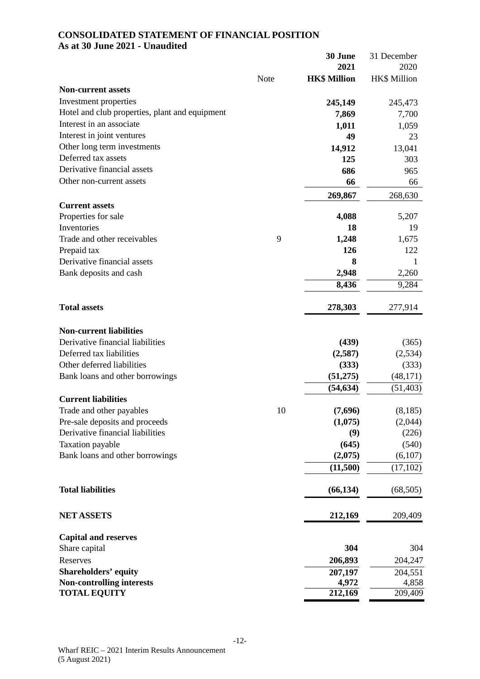### **CONSOLIDATED STATEMENT OF FINANCIAL POSITION As at 30 June 2021 - Unaudited**

|                                                |      | 30 June             | 31 December  |
|------------------------------------------------|------|---------------------|--------------|
|                                                |      | 2021                | 2020         |
|                                                | Note | <b>HK\$ Million</b> | HK\$ Million |
| <b>Non-current assets</b>                      |      |                     |              |
| Investment properties                          |      | 245,149             | 245,473      |
| Hotel and club properties, plant and equipment |      | 7,869               | 7,700        |
| Interest in an associate                       |      | 1,011               | 1,059        |
| Interest in joint ventures                     |      | 49                  | 23           |
| Other long term investments                    |      | 14,912              | 13,041       |
| Deferred tax assets                            |      | 125                 | 303          |
| Derivative financial assets                    |      | 686                 | 965          |
| Other non-current assets                       |      | 66                  | 66           |
|                                                |      | 269,867             | 268,630      |
| <b>Current assets</b>                          |      |                     |              |
| Properties for sale                            |      | 4,088               | 5,207        |
| Inventories                                    |      | 18                  | 19           |
| Trade and other receivables                    | 9    | 1,248               | 1,675        |
| Prepaid tax                                    |      | 126                 | 122          |
| Derivative financial assets                    |      | 8                   | 1            |
| Bank deposits and cash                         |      | 2,948               | 2,260        |
|                                                |      | 8,436               | 9,284        |
|                                                |      |                     |              |
| <b>Total assets</b>                            |      | 278,303             | 277,914      |
|                                                |      |                     |              |
| <b>Non-current liabilities</b>                 |      |                     |              |
| Derivative financial liabilities               |      | (439)               | (365)        |
| Deferred tax liabilities                       |      | (2,587)             | (2, 534)     |
| Other deferred liabilities                     |      | (333)               | (333)        |
| Bank loans and other borrowings                |      | (51,275)            | (48, 171)    |
|                                                |      | (54, 634)           | (51, 403)    |
| <b>Current liabilities</b>                     |      |                     |              |
| Trade and other payables                       | 10   | (7,696)             | (8,185)      |
| Pre-sale deposits and proceeds                 |      | (1,075)             | (2,044)      |
| Derivative financial liabilities               |      | (9)                 | (226)        |
| Taxation payable                               |      | (645)               | (540)        |
| Bank loans and other borrowings                |      | (2,075)             | (6,107)      |
|                                                |      | (11,500)            | (17,102)     |
|                                                |      |                     |              |
| <b>Total liabilities</b>                       |      | (66, 134)           | (68, 505)    |
|                                                |      |                     |              |
| <b>NET ASSETS</b>                              |      | 212,169             | 209,409      |
|                                                |      |                     |              |
| <b>Capital and reserves</b>                    |      |                     |              |
| Share capital                                  |      | 304                 | 304          |
| Reserves                                       |      | 206,893             | 204,247      |
| <b>Shareholders' equity</b>                    |      | 207,197             | 204,551      |
| <b>Non-controlling interests</b>               |      | 4,972               | 4,858        |
| <b>TOTAL EQUITY</b>                            |      | 212,169             | 209,409      |
|                                                |      |                     |              |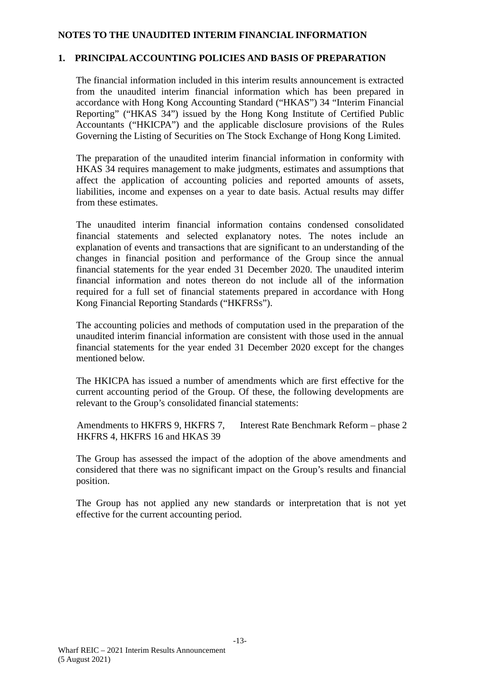### **NOTES TO THE UNAUDITED INTERIM FINANCIAL INFORMATION**

### **1. PRINCIPAL ACCOUNTING POLICIES AND BASIS OF PREPARATION**

The financial information included in this interim results announcement is extracted from the unaudited interim financial information which has been prepared in accordance with Hong Kong Accounting Standard ("HKAS") 34 "Interim Financial Reporting" ("HKAS 34") issued by the Hong Kong Institute of Certified Public Accountants ("HKICPA") and the applicable disclosure provisions of the Rules Governing the Listing of Securities on The Stock Exchange of Hong Kong Limited.

The preparation of the unaudited interim financial information in conformity with HKAS 34 requires management to make judgments, estimates and assumptions that affect the application of accounting policies and reported amounts of assets, liabilities, income and expenses on a year to date basis. Actual results may differ from these estimates.

The unaudited interim financial information contains condensed consolidated financial statements and selected explanatory notes. The notes include an explanation of events and transactions that are significant to an understanding of the changes in financial position and performance of the Group since the annual financial statements for the year ended 31 December 2020. The unaudited interim financial information and notes thereon do not include all of the information required for a full set of financial statements prepared in accordance with Hong Kong Financial Reporting Standards ("HKFRSs").

The accounting policies and methods of computation used in the preparation of the unaudited interim financial information are consistent with those used in the annual financial statements for the year ended 31 December 2020 except for the changes mentioned below.

The HKICPA has issued a number of amendments which are first effective for the current accounting period of the Group. Of these, the following developments are relevant to the Group's consolidated financial statements:

Amendments to HKFRS 9, HKFRS 7, HKFRS 4, HKFRS 16 and HKAS 39 Interest Rate Benchmark Reform – phase 2

The Group has assessed the impact of the adoption of the above amendments and considered that there was no significant impact on the Group's results and financial position.

The Group has not applied any new standards or interpretation that is not yet effective for the current accounting period.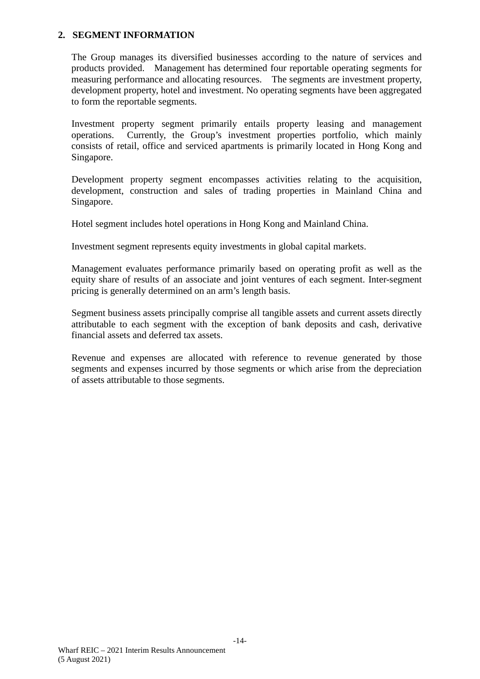#### **2. SEGMENT INFORMATION**

The Group manages its diversified businesses according to the nature of services and products provided. Management has determined four reportable operating segments for measuring performance and allocating resources. The segments are investment property, development property, hotel and investment. No operating segments have been aggregated to form the reportable segments.

Investment property segment primarily entails property leasing and management operations. Currently, the Group's investment properties portfolio, which mainly consists of retail, office and serviced apartments is primarily located in Hong Kong and Singapore.

Development property segment encompasses activities relating to the acquisition, development, construction and sales of trading properties in Mainland China and Singapore.

Hotel segment includes hotel operations in Hong Kong and Mainland China.

Investment segment represents equity investments in global capital markets.

Management evaluates performance primarily based on operating profit as well as the equity share of results of an associate and joint ventures of each segment. Inter-segment pricing is generally determined on an arm's length basis.

Segment business assets principally comprise all tangible assets and current assets directly attributable to each segment with the exception of bank deposits and cash, derivative financial assets and deferred tax assets.

Revenue and expenses are allocated with reference to revenue generated by those segments and expenses incurred by those segments or which arise from the depreciation of assets attributable to those segments.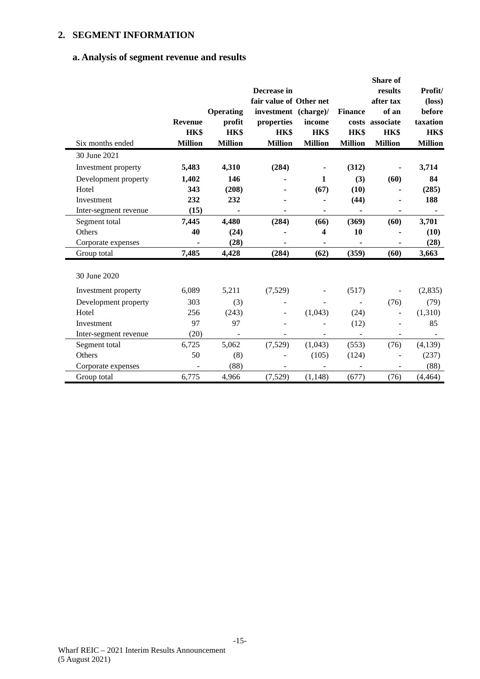# **2. SEGMENT INFORMATION**

### **a. Analysis of segment revenue and results**

|                       |                |                  |                         |                          |                | Share of        |                 |
|-----------------------|----------------|------------------|-------------------------|--------------------------|----------------|-----------------|-----------------|
|                       |                |                  | Decrease in             |                          |                | results         | Profit/         |
|                       |                |                  | fair value of Other net |                          |                | after tax       | $(\text{loss})$ |
|                       |                | <b>Operating</b> | investment (charge)/    |                          | <b>Finance</b> | of an           | before          |
|                       | <b>Revenue</b> | profit           | properties              | income                   |                | costs associate | taxation        |
|                       | HK\$           | HK\$             | HK\$                    | HK\$                     | HK\$           | HK\$            | HK\$            |
| Six months ended      | <b>Million</b> | <b>Million</b>   | <b>Million</b>          | <b>Million</b>           | <b>Million</b> | <b>Million</b>  | <b>Million</b>  |
| 30 June 2021          |                |                  |                         |                          |                |                 |                 |
| Investment property   | 5,483          | 4,310            | (284)                   |                          | (312)          |                 | 3,714           |
| Development property  | 1,402          | 146              |                         | 1                        | (3)            | (60)            | 84              |
| Hotel                 | 343            | (208)            |                         | (67)                     | (10)           |                 | (285)           |
| Investment            | 232            | 232              |                         |                          | (44)           |                 | 188             |
| Inter-segment revenue | (15)           |                  |                         |                          |                |                 |                 |
| Segment total         | 7,445          | 4,480            | (284)                   | (66)                     | (369)          | (60)            | 3,701           |
| Others                | 40             | (24)             |                         | 4                        | 10             |                 | (10)            |
| Corporate expenses    |                | (28)             |                         | ۰                        |                |                 | (28)            |
| Group total           | 7,485          | 4,428            | (284)                   | (62)                     | (359)          | (60)            | 3,663           |
|                       |                |                  |                         |                          |                |                 |                 |
| 30 June 2020          |                |                  |                         |                          |                |                 |                 |
| Investment property   | 6,089          | 5,211            | (7,529)                 | $\overline{\phantom{0}}$ | (517)          | ÷,              | (2,835)         |
| Development property  | 303            | (3)              |                         |                          |                | (76)            | (79)            |
| Hotel                 | 256            | (243)            |                         | (1,043)                  | (24)           |                 | (1,310)         |
| Investment            | 97             | 97               |                         |                          | (12)           |                 | 85              |
| Inter-segment revenue | (20)           |                  |                         |                          |                |                 |                 |
| Segment total         | 6,725          | 5,062            | (7,529)                 | (1,043)                  | (553)          | (76)            | (4,139)         |
| Others                | 50             | (8)              |                         | (105)                    | (124)          |                 | (237)           |
| Corporate expenses    |                | (88)             |                         |                          |                |                 | (88)            |
| Group total           | 6,775          | 4,966            | (7,529)                 | (1, 148)                 | (677)          | (76)            | (4, 464)        |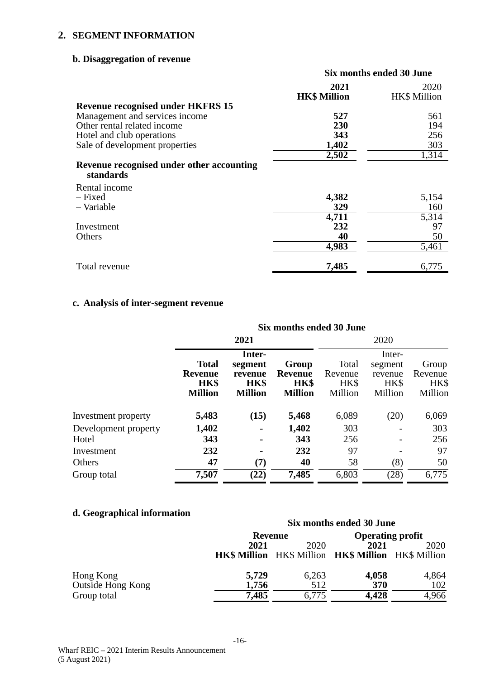### **2. SEGMENT INFORMATION**

# **b. Disaggregation of revenue**

|                                                        | Six months ended 30 June |                     |  |
|--------------------------------------------------------|--------------------------|---------------------|--|
|                                                        | 2021                     | 2020                |  |
|                                                        | <b>HK\$ Million</b>      | <b>HK\$</b> Million |  |
| <b>Revenue recognised under HKFRS 15</b>               |                          |                     |  |
| Management and services income                         | 527                      | 561                 |  |
| Other rental related income                            | 230                      | 194                 |  |
| Hotel and club operations                              | 343                      | 256                 |  |
| Sale of development properties                         | 1,402                    | 303                 |  |
|                                                        | 2,502                    | 1,314               |  |
| Revenue recognised under other accounting<br>standards |                          |                     |  |
| Rental income                                          |                          |                     |  |
| - Fixed                                                | 4,382                    | 5,154               |  |
| - Variable                                             | 329                      | 160                 |  |
|                                                        | 4,711                    | 5,314               |  |
| Investment                                             | 232                      | 97                  |  |
| Others                                                 | 40                       | 50                  |  |
|                                                        | 4,983                    | 5,461               |  |
| Total revenue                                          | 7,485                    | 6,775               |  |

# **c. Analysis of inter-segment revenue**

|                      |                                                          | Six months ended 30 June                               |                                                   |                                     |                                                 |                                     |
|----------------------|----------------------------------------------------------|--------------------------------------------------------|---------------------------------------------------|-------------------------------------|-------------------------------------------------|-------------------------------------|
|                      |                                                          | 2021                                                   |                                                   | 2020                                |                                                 |                                     |
|                      | <b>Total</b><br><b>Revenue</b><br>HK\$<br><b>Million</b> | Inter-<br>segment<br>revenue<br>HK\$<br><b>Million</b> | Group<br><b>Revenue</b><br>HK\$<br><b>Million</b> | Total<br>Revenue<br>HK\$<br>Million | Inter-<br>segment<br>revenue<br>HK\$<br>Million | Group<br>Revenue<br>HK\$<br>Million |
| Investment property  | 5,483                                                    | (15)                                                   | 5,468                                             | 6,089                               | (20)                                            | 6,069                               |
| Development property | 1,402                                                    | $\blacksquare$                                         | 1,402                                             | 303                                 |                                                 | 303                                 |
| Hotel                | 343                                                      | $\blacksquare$                                         | 343                                               | 256                                 |                                                 | 256                                 |
| Investment           | 232                                                      | $\blacksquare$                                         | 232                                               | 97                                  |                                                 | 97                                  |
| Others               | 47                                                       | (7)                                                    | 40                                                | 58                                  | (8)                                             | 50                                  |
| Group total          | 7,507                                                    | (22)                                                   | 7,485                                             | 6,803                               | (28)                                            | 6,775                               |

# **d. Geographical information**

|                   | Six months ended 30 June |         |                                                                   |                         |
|-------------------|--------------------------|---------|-------------------------------------------------------------------|-------------------------|
|                   |                          | Revenue |                                                                   | <b>Operating profit</b> |
|                   | 2021                     | 2020    | 2021                                                              | 2020                    |
|                   |                          |         | <b>HK\$ Million</b> HK\$ Million <b>HK\$ Million</b> HK\$ Million |                         |
| Hong Kong         | 5,729                    | 6,263   | 4,058                                                             | 4,864                   |
| Outside Hong Kong | 1,756                    | 512     | 370                                                               | 102                     |
| Group total       | 7,485                    | 6,775   | 4,428                                                             | 4,966                   |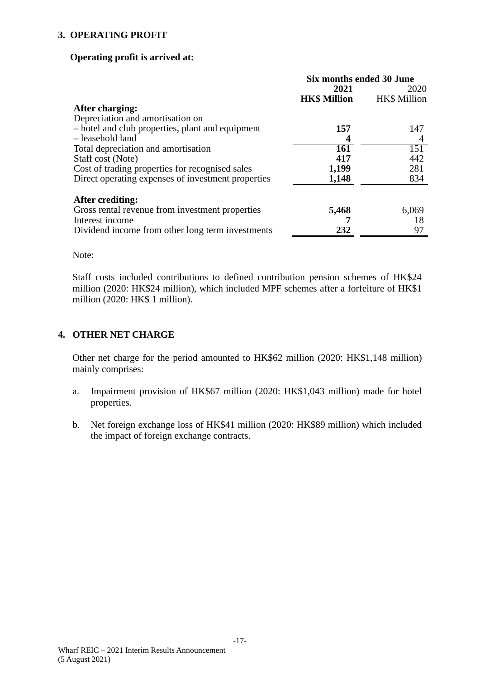### **3. OPERATING PROFIT**

#### **Operating profit is arrived at:**

|                                                    | Six months ended 30 June |                     |  |
|----------------------------------------------------|--------------------------|---------------------|--|
|                                                    | 2021                     | 2020                |  |
|                                                    | <b>HK\$ Million</b>      | <b>HK\$</b> Million |  |
| After charging:                                    |                          |                     |  |
| Depreciation and amortisation on                   |                          |                     |  |
| - hotel and club properties, plant and equipment   | 157                      | 147                 |  |
| - leasehold land                                   | 4                        | 4                   |  |
| Total depreciation and amortisation                | 161                      | 151                 |  |
| Staff cost (Note)                                  | 417                      | 442                 |  |
| Cost of trading properties for recognised sales    | 1,199                    | 281                 |  |
| Direct operating expenses of investment properties | 1,148                    | 834                 |  |
| After crediting:                                   |                          |                     |  |
| Gross rental revenue from investment properties    | 5,468                    | 6,069               |  |
| Interest income                                    |                          | 18                  |  |
| Dividend income from other long term investments   | 232                      | 97                  |  |

Note:

Staff costs included contributions to defined contribution pension schemes of HK\$24 million (2020: HK\$24 million), which included MPF schemes after a forfeiture of HK\$1 million (2020: HK\$ 1 million).

### **4. OTHER NET CHARGE**

Other net charge for the period amounted to HK\$62 million (2020: HK\$1,148 million) mainly comprises:

- a. Impairment provision of HK\$67 million (2020: HK\$1,043 million) made for hotel properties.
- b. Net foreign exchange loss of HK\$41 million (2020: HK\$89 million) which included the impact of foreign exchange contracts.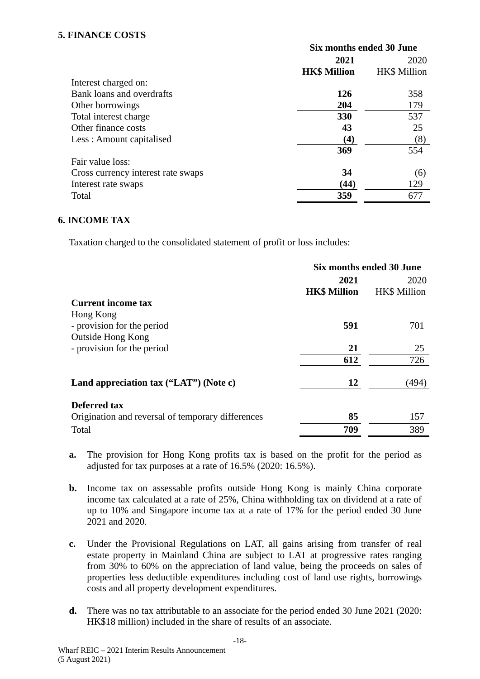### **5. FINANCE COSTS**

|                                    | Six months ended 30 June |                     |  |
|------------------------------------|--------------------------|---------------------|--|
|                                    | 2021                     | 2020                |  |
|                                    | <b>HK\$ Million</b>      | <b>HK\$</b> Million |  |
| Interest charged on:               |                          |                     |  |
| Bank loans and overdrafts          | <b>126</b>               | 358                 |  |
| Other borrowings                   | 204                      | 179                 |  |
| Total interest charge              | 330                      | 537                 |  |
| Other finance costs                | 43                       | 25                  |  |
| Less: Amount capitalised           | $\left( 4\right)$        | (8)                 |  |
|                                    | 369                      | 554                 |  |
| Fair value loss:                   |                          |                     |  |
| Cross currency interest rate swaps | 34                       | (6)                 |  |
| Interest rate swaps                | (44)                     | 129                 |  |
| Total                              | 359                      | 677                 |  |

### **6. INCOME TAX**

Taxation charged to the consolidated statement of profit or loss includes:

|                                                   | Six months ended 30 June |                     |
|---------------------------------------------------|--------------------------|---------------------|
|                                                   | 2021                     | 2020                |
|                                                   | <b>HK\$ Million</b>      | <b>HK\$</b> Million |
| <b>Current income tax</b>                         |                          |                     |
| Hong Kong                                         |                          |                     |
| - provision for the period                        | 591                      | 701                 |
| <b>Outside Hong Kong</b>                          |                          |                     |
| - provision for the period                        | 21                       | 25                  |
|                                                   | 612                      | 726                 |
| Land appreciation tax ("LAT") (Note c)            | 12                       | (494)               |
| <b>Deferred tax</b>                               |                          |                     |
| Origination and reversal of temporary differences | 85                       | 157                 |
| Total                                             | 709                      | 389                 |

- **a.** The provision for Hong Kong profits tax is based on the profit for the period as adjusted for tax purposes at a rate of 16.5% (2020: 16.5%).
- **b.** Income tax on assessable profits outside Hong Kong is mainly China corporate income tax calculated at a rate of 25%, China withholding tax on dividend at a rate of up to 10% and Singapore income tax at a rate of 17% for the period ended 30 June 2021 and 2020.
- **c.** Under the Provisional Regulations on LAT, all gains arising from transfer of real estate property in Mainland China are subject to LAT at progressive rates ranging from 30% to 60% on the appreciation of land value, being the proceeds on sales of properties less deductible expenditures including cost of land use rights, borrowings costs and all property development expenditures.
- **d.** There was no tax attributable to an associate for the period ended 30 June 2021 (2020: HK\$18 million) included in the share of results of an associate.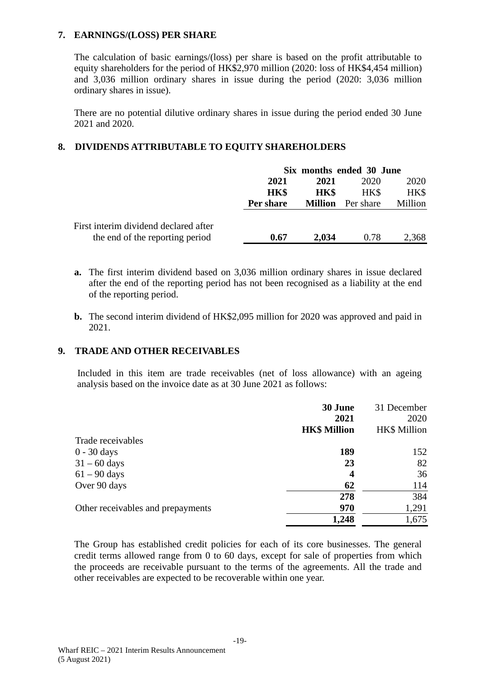### **7. EARNINGS/(LOSS) PER SHARE**

The calculation of basic earnings/(loss) per share is based on the profit attributable to equity shareholders for the period of HK\$2,970 million (2020: loss of HK\$4,454 million) and 3,036 million ordinary shares in issue during the period (2020: 3,036 million ordinary shares in issue).

There are no potential dilutive ordinary shares in issue during the period ended 30 June 2021 and 2020.

### **8. DIVIDENDS ATTRIBUTABLE TO EQUITY SHAREHOLDERS**

|                                       | Six months ended 30 June |             |                          |         |
|---------------------------------------|--------------------------|-------------|--------------------------|---------|
|                                       | 2021                     | 2021        | 2020                     | 2020    |
|                                       | HK\$                     | <b>HK\$</b> | HK\$                     | HK\$    |
|                                       | Per share                |             | <b>Million</b> Per share | Million |
| First interim dividend declared after |                          |             |                          |         |
| the end of the reporting period       | 0.67                     | 2.034       | 0.78                     | 2,368   |

- **a.** The first interim dividend based on 3,036 million ordinary shares in issue declared after the end of the reporting period has not been recognised as a liability at the end of the reporting period.
- **b.** The second interim dividend of HK\$2,095 million for 2020 was approved and paid in 2021.

### **9. TRADE AND OTHER RECEIVABLES**

Included in this item are trade receivables (net of loss allowance) with an ageing analysis based on the invoice date as at 30 June 2021 as follows:

|                                   | 30 June                 | 31 December         |
|-----------------------------------|-------------------------|---------------------|
|                                   | 2021                    | 2020                |
|                                   | <b>HK\$ Million</b>     | <b>HK\$</b> Million |
| Trade receivables                 |                         |                     |
| $0 - 30$ days                     | 189                     | 152                 |
| $31 - 60$ days                    | 23                      | 82                  |
| $61 - 90$ days                    | $\overline{\mathbf{4}}$ | 36                  |
| Over 90 days                      | 62                      | 114                 |
|                                   | 278                     | 384                 |
| Other receivables and prepayments | 970                     | 1,291               |
|                                   | 1,248                   | 1,675               |

The Group has established credit policies for each of its core businesses. The general credit terms allowed range from 0 to 60 days, except for sale of properties from which the proceeds are receivable pursuant to the terms of the agreements. All the trade and other receivables are expected to be recoverable within one year.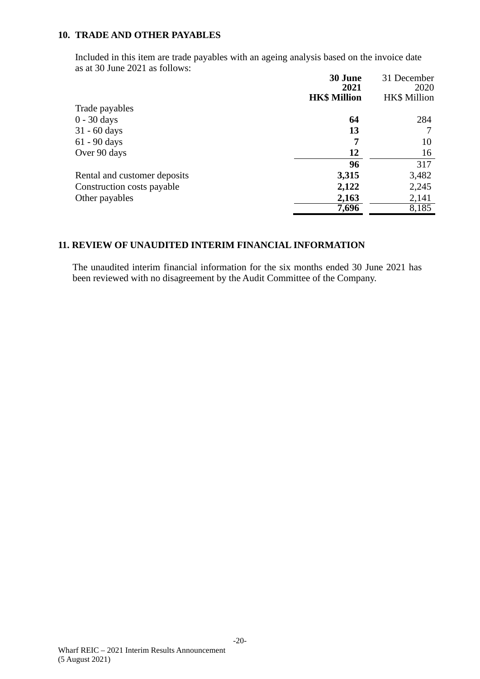### **10. TRADE AND OTHER PAYABLES**

Included in this item are trade payables with an ageing analysis based on the invoice date as at 30 June 2021 as follows:

|                              | 30 June<br>2021     | 31 December<br>2020 |
|------------------------------|---------------------|---------------------|
|                              | <b>HK\$ Million</b> | <b>HK\$</b> Million |
| Trade payables               |                     |                     |
| $0 - 30$ days                | 64                  | 284                 |
| $31 - 60$ days               | 13                  |                     |
| $61 - 90$ days               | 7                   | 10                  |
| Over 90 days                 | 12                  | 16                  |
|                              | 96                  | 317                 |
| Rental and customer deposits | 3,315               | 3,482               |
| Construction costs payable   | 2,122               | 2,245               |
| Other payables               | 2,163               | 2,141               |
|                              | 7,696               | 8,185               |

### **11. REVIEW OF UNAUDITED INTERIM FINANCIAL INFORMATION**

The unaudited interim financial information for the six months ended 30 June 2021 has been reviewed with no disagreement by the Audit Committee of the Company.